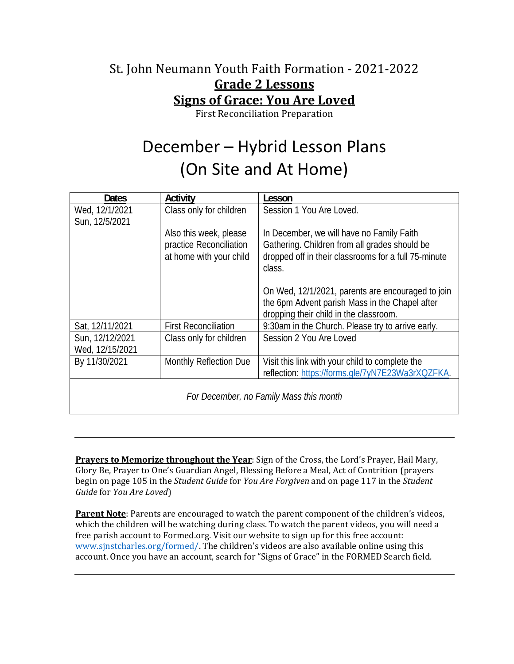### St. John Neumann Youth Faith Formation - 2021-2022 **Grade 2 Lessons Signs of Grace: You Are Loved**

First Reconciliation Preparation

# December – Hybrid Lesson Plans (On Site and At Home)

| <b>Dates</b>                            | Activity                                                                     | Lesson                                                                                                                                                       |
|-----------------------------------------|------------------------------------------------------------------------------|--------------------------------------------------------------------------------------------------------------------------------------------------------------|
| Wed, 12/1/2021<br>Sun, 12/5/2021        | Class only for children                                                      | Session 1 You Are Loved.                                                                                                                                     |
|                                         | Also this week, please<br>practice Reconciliation<br>at home with your child | In December, we will have no Family Faith<br>Gathering. Children from all grades should be<br>dropped off in their classrooms for a full 75-minute<br>class. |
|                                         |                                                                              | On Wed, 12/1/2021, parents are encouraged to join<br>the 6pm Advent parish Mass in the Chapel after<br>dropping their child in the classroom.                |
| Sat, 12/11/2021                         | <b>First Reconciliation</b>                                                  | 9:30am in the Church. Please try to arrive early.                                                                                                            |
| Sun, 12/12/2021<br>Wed, 12/15/2021      | Class only for children                                                      | Session 2 You Are Loved                                                                                                                                      |
| By 11/30/2021                           | <b>Monthly Reflection Due</b>                                                | Visit this link with your child to complete the<br>reflection: https://forms.gle/7yN7E23Wa3rXQZFKA.                                                          |
| For December, no Family Mass this month |                                                                              |                                                                                                                                                              |

**Prayers to Memorize throughout the Year**: Sign of the Cross, the Lord's Prayer, Hail Mary, Glory Be, Prayer to One's Guardian Angel, Blessing Before a Meal, Act of Contrition (prayers begin on page 105 in the *Student Guide* for *You Are Forgiven* and on page 117 in the *Student Guide* for *You Are Loved*)

**Parent Note**: Parents are encouraged to watch the parent component of the children's videos, which the children will be watching during class. To watch the parent videos, you will need a free parish account to Formed.org. Visit our website to sign up for this free account: www.sjnstcharles.org/formed/. The children's videos are also available online using this account. Once you have an account, search for "Signs of Grace" in the FORMED Search field.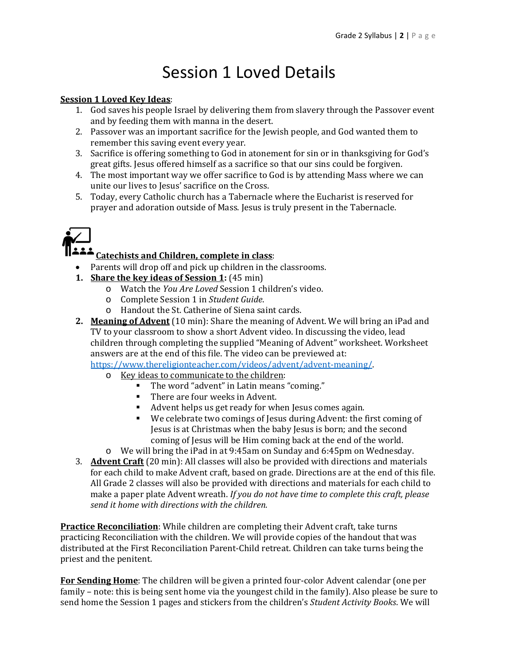### Session 1 Loved Details

#### **Session 1 Loved Key Ideas**:

- 1. God saves his people Israel by delivering them from slavery through the Passover event and by feeding them with manna in the desert.
- 2. Passover was an important sacrifice for the Jewish people, and God wanted them to remember this saving event every year.
- 3. Sacrifice is offering something to God in atonement for sin or in thanksgiving for God's great gifts. Jesus offered himself as a sacrifice so that our sins could be forgiven.
- 4. The most important way we offer sacrifice to God is by attending Mass where we can unite our lives to Jesus' sacrifice on the Cross.
- 5. Today, every Catholic church has a Tabernacle where the Eucharist is reserved for prayer and adoration outside of Mass. Jesus is truly present in the Tabernacle.



### **Catechists and Children, complete in class**:

- Parents will drop off and pick up children in the classrooms.
- **1. Share the key ideas** of **Session 1**: (45 min)
	- o Watch the *You Are Loved* Session 1 children's video.
	- o Complete Session 1 in *Student Guide*.
	- o Handout the St. Catherine of Siena saint cards.
- **2. Meaning of Advent** (10 min): Share the meaning of Advent. We will bring an iPad and TV to your classroom to show a short Advent video. In discussing the video, lead children through completing the supplied "Meaning of Advent" worksheet. Worksheet answers are at the end of this file. The video can be previewed at:

https://www.thereligionteacher.com/videos/advent/advent-meaning/.

- o Key ideas to communicate to the children:
	- The word "advent" in Latin means "coming."
	- There are four weeks in Advent.
	- Advent helps us get ready for when Jesus comes again.
	- We celebrate two comings of Jesus during Advent: the first coming of Jesus is at Christmas when the baby Jesus is born; and the second coming of Jesus will be Him coming back at the end of the world.
- o We will bring the iPad in at 9:45am on Sunday and 6:45pm on Wednesday.
- 3. **Advent Craft** (20 min): All classes will also be provided with directions and materials for each child to make Advent craft, based on grade. Directions are at the end of this file. All Grade 2 classes will also be provided with directions and materials for each child to make a paper plate Advent wreath. *If you do not have time to complete this craft, please send it home with directions with the children.*

**Practice Reconciliation**: While children are completing their Advent craft, take turns practicing Reconciliation with the children. We will provide copies of the handout that was distributed at the First Reconciliation Parent-Child retreat. Children can take turns being the priest and the penitent.

**For Sending Home**: The children will be given a printed four-color Advent calendar (one per family – note: this is being sent home via the youngest child in the family). Also please be sure to send home the Session 1 pages and stickers from the children's *Student Activity Books*. We will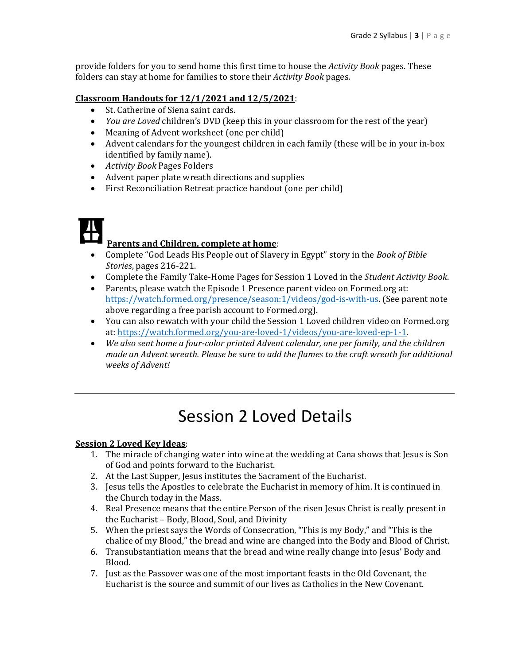provide folders for you to send home this first time to house the *Activity Book* pages. These folders can stay at home for families to store their *Activity Book* pages.

#### **Classroom Handouts for 12/1/2021 and 12/5/2021**:

- St. Catherine of Siena saint cards.
- *You are Loved* children's DVD (keep this in your classroom for the rest of the year)
- Meaning of Advent worksheet (one per child)
- Advent calendars for the youngest children in each family (these will be in your in-box identified by family name).
- *Activity Book* Pages Folders
- Advent paper plate wreath directions and supplies
- First Reconciliation Retreat practice handout (one per child)

#### **Parents and Children, complete at home**:

- Complete "God Leads His People out of Slavery in Egypt" story in the *Book of Bible Stories*, pages 216-221.
- Complete the Family Take-Home Pages for Session 1 Loved in the *Student Activity Book*.
- Parents, please watch the Episode 1 Presence parent video on Formed.org at: https://watch.formed.org/presence/season:1/videos/god-is-with-us. (See parent note above regarding a free parish account to Formed.org).
- You can also rewatch with your child the Session 1 Loved children video on Formed.org at: https://watch.formed.org/you-are-loved-1/videos/you-are-loved-ep-1-1.
- *We also sent home a four‐color printed Advent calendar, one per family, and the children made an Advent wreath. Please be sure to add the flames to the craft wreath for additional weeks of Advent!*

### Session 2 Loved Details

#### **Session 2 Loved Key Ideas**:

- 1. The miracle of changing water into wine at the wedding at Cana shows that Jesus is Son of God and points forward to the Eucharist.
- 2. At the Last Supper, Jesus institutes the Sacrament of the Eucharist.
- 3. Jesus tells the Apostles to celebrate the Eucharist in memory of him. It is continued in the Church today in the Mass.
- 4. Real Presence means that the entire Person of the risen Jesus Christ is really present in the Eucharist – Body, Blood, Soul, and Divinity
- 5. When the priest says the Words of Consecration, "This is my Body," and "This is the chalice of my Blood," the bread and wine are changed into the Body and Blood of Christ.
- 6. Transubstantiation means that the bread and wine really change into Jesus' Body and Blood.
- 7. Just as the Passover was one of the most important feasts in the Old Covenant, the Eucharist is the source and summit of our lives as Catholics in the New Covenant.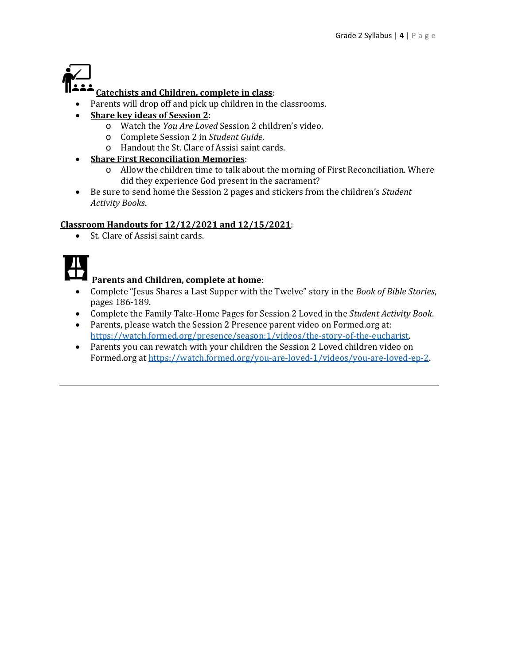

### **Catechists and Children, complete in class**:

- Parents will drop off and pick up children in the classrooms.
- **Share key ideas of Session 2**:
	- o Watch the *You Are Loved* Session 2 children's video.
	- o Complete Session 2 in *Student Guide*.
	- o Handout the St. Clare of Assisi saint cards.
- **Share First Reconciliation Memories**:
	- o Allow the children time to talk about the morning of First Reconciliation. Where did they experience God present in the sacrament?
- Be sure to send home the Session 2 pages and stickers from the children's *Student Activity Books*.

#### **Classroom Handouts for 12/12/2021 and 12/15/2021**:

• St. Clare of Assisi saint cards.



### **Parents and Children, complete at home**:

- Complete "Jesus Shares a Last Supper with the Twelve" story in the *Book of Bible Stories*, pages 186-189.
- Complete the Family Take-Home Pages for Session 2 Loved in the *Student Activity Book*.
- Parents, please watch the Session 2 Presence parent video on Formed.org at: https://watch.formed.org/presence/season:1/videos/the-story-of-the-eucharist.
- Parents you can rewatch with your children the Session 2 Loved children video on Formed.org at https://watch.formed.org/you-are-loved-1/videos/you-are-loved-ep-2.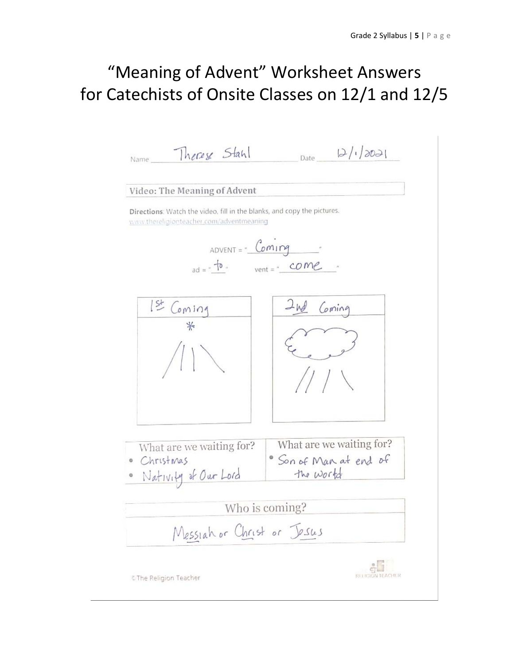## "Meaning of Advent" Worksheet Answers for Catechists of Onsite Classes on 12/1 and 12/5